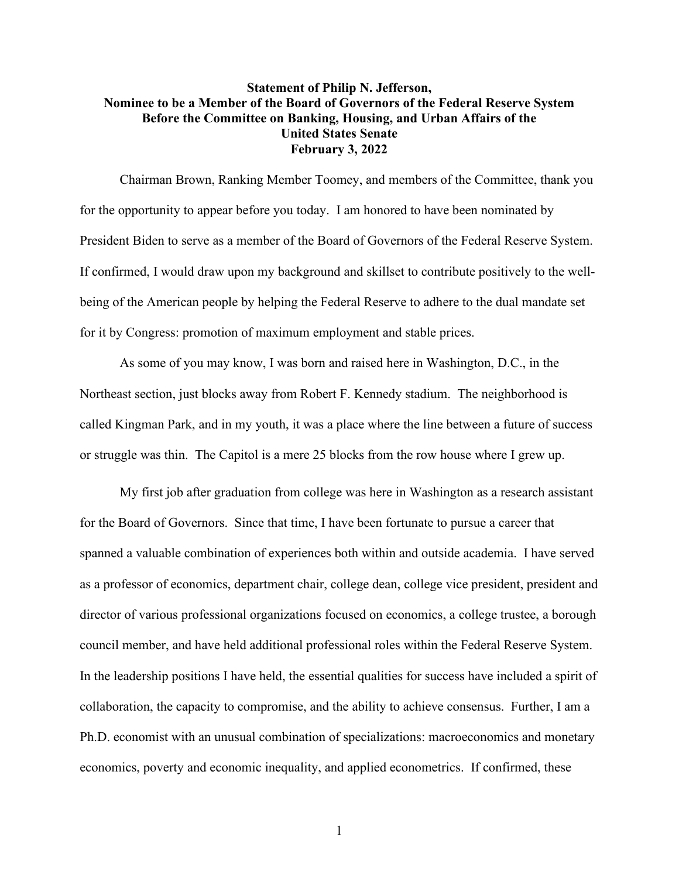## **Statement of Philip N. Jefferson, Nominee to be a Member of the Board of Governors of the Federal Reserve System Before the Committee on Banking, Housing, and Urban Affairs of the United States Senate February 3, 2022**

Chairman Brown, Ranking Member Toomey, and members of the Committee, thank you for the opportunity to appear before you today. I am honored to have been nominated by President Biden to serve as a member of the Board of Governors of the Federal Reserve System. If confirmed, I would draw upon my background and skillset to contribute positively to the wellbeing of the American people by helping the Federal Reserve to adhere to the dual mandate set for it by Congress: promotion of maximum employment and stable prices.

As some of you may know, I was born and raised here in Washington, D.C., in the Northeast section, just blocks away from Robert F. Kennedy stadium. The neighborhood is called Kingman Park, and in my youth, it was a place where the line between a future of success or struggle was thin. The Capitol is a mere 25 blocks from the row house where I grew up.

My first job after graduation from college was here in Washington as a research assistant for the Board of Governors. Since that time, I have been fortunate to pursue a career that spanned a valuable combination of experiences both within and outside academia. I have served as a professor of economics, department chair, college dean, college vice president, president and director of various professional organizations focused on economics, a college trustee, a borough council member, and have held additional professional roles within the Federal Reserve System. In the leadership positions I have held, the essential qualities for success have included a spirit of collaboration, the capacity to compromise, and the ability to achieve consensus. Further, I am a Ph.D. economist with an unusual combination of specializations: macroeconomics and monetary economics, poverty and economic inequality, and applied econometrics. If confirmed, these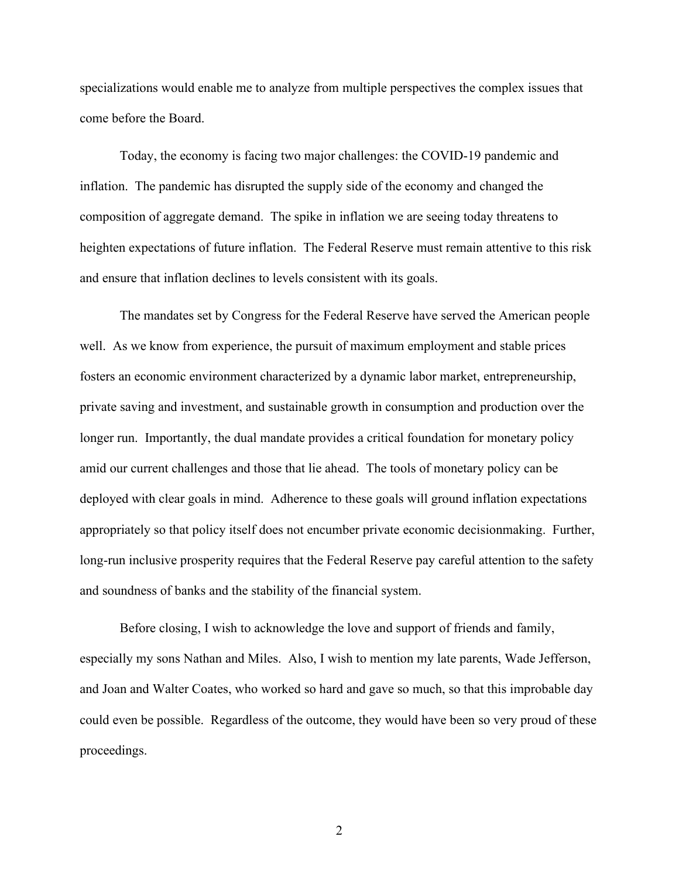specializations would enable me to analyze from multiple perspectives the complex issues that come before the Board.

Today, the economy is facing two major challenges: the COVID-19 pandemic and inflation. The pandemic has disrupted the supply side of the economy and changed the composition of aggregate demand. The spike in inflation we are seeing today threatens to heighten expectations of future inflation. The Federal Reserve must remain attentive to this risk and ensure that inflation declines to levels consistent with its goals.

The mandates set by Congress for the Federal Reserve have served the American people well. As we know from experience, the pursuit of maximum employment and stable prices fosters an economic environment characterized by a dynamic labor market, entrepreneurship, private saving and investment, and sustainable growth in consumption and production over the longer run. Importantly, the dual mandate provides a critical foundation for monetary policy amid our current challenges and those that lie ahead. The tools of monetary policy can be deployed with clear goals in mind. Adherence to these goals will ground inflation expectations appropriately so that policy itself does not encumber private economic decisionmaking. Further, long-run inclusive prosperity requires that the Federal Reserve pay careful attention to the safety and soundness of banks and the stability of the financial system.

Before closing, I wish to acknowledge the love and support of friends and family, especially my sons Nathan and Miles. Also, I wish to mention my late parents, Wade Jefferson, and Joan and Walter Coates, who worked so hard and gave so much, so that this improbable day could even be possible. Regardless of the outcome, they would have been so very proud of these proceedings.

2